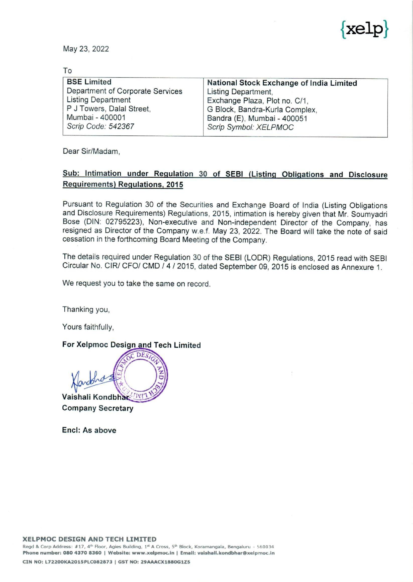

| May 23, 2022<br>To<br><b>BSE Limited</b><br>National Stock Exchange of India Limited<br>Department of Corporate Services<br>Listing Department,<br><b>Listing Department</b><br>Exchange Plaza, Plot no. C/1,<br>P J Towers, Dalal Street,<br>G Block, Bandra-Kurla Complex,<br>Mumbai - 400001<br>Bandra (E), Mumbai - 400051 |                    |                       |
|--------------------------------------------------------------------------------------------------------------------------------------------------------------------------------------------------------------------------------------------------------------------------------------------------------------------------------|--------------------|-----------------------|
|                                                                                                                                                                                                                                                                                                                                |                    |                       |
|                                                                                                                                                                                                                                                                                                                                |                    |                       |
|                                                                                                                                                                                                                                                                                                                                |                    |                       |
|                                                                                                                                                                                                                                                                                                                                |                    |                       |
|                                                                                                                                                                                                                                                                                                                                |                    |                       |
|                                                                                                                                                                                                                                                                                                                                |                    | $\{ \text{xelp} \}$   |
|                                                                                                                                                                                                                                                                                                                                |                    |                       |
|                                                                                                                                                                                                                                                                                                                                | Scrip Code: 542367 | Scrip Symbol: XELPMOC |

Dear Sir/Madam,

## Sub: Intimation under Regulation 30 of SEBI (Listing Obligations and Disclosure Requirements) Regulations, 2015

Pursuant to Regulation 30 of the Securities and Exchange Board of India (Listing Obligations and Disclosure Requirements) Regulations, 2015, intimation is hereby given that Mr. Soumyadri Bose (DIN: 02795223), Non-executive and Non-independent Director of the Company, has resigned as Director of the Company w.e.f. May 23, 2022. The Board will take the note of said cessation in the forthcoming Board Meeting of the Company.

The details required under Regulation 30 of the SEBI (LODR) Regulations, 2015 read with SEBI Circular No. CIR/ CFO/ CMD / 4 / 2015, dated September 09, 2015 is enclosed as Annexure 1.

We request you to take the same on record.

Thanking you,

Yours faithfully,

## For Xelpmoc Design and Tech Limited

OC DES Shore Vaishali Kondbhar

Company Secretary

Encl: As above